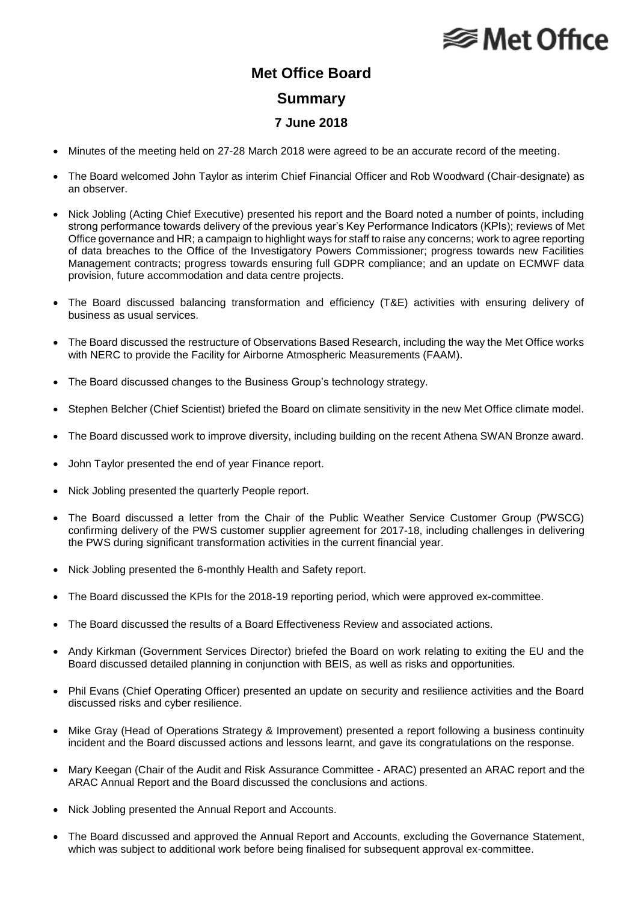## **⊗ Met Office**

## **Met Office Board Summary 7 June 2018**

- Minutes of the meeting held on 27-28 March 2018 were agreed to be an accurate record of the meeting.
- The Board welcomed John Taylor as interim Chief Financial Officer and Rob Woodward (Chair-designate) as an observer.
- Nick Jobling (Acting Chief Executive) presented his report and the Board noted a number of points, including strong performance towards delivery of the previous year's Key Performance Indicators (KPIs); reviews of Met Office governance and HR; a campaign to highlight ways for staff to raise any concerns; work to agree reporting of data breaches to the Office of the Investigatory Powers Commissioner; progress towards new Facilities Management contracts; progress towards ensuring full GDPR compliance; and an update on ECMWF data provision, future accommodation and data centre projects.
- The Board discussed balancing transformation and efficiency (T&E) activities with ensuring delivery of business as usual services.
- The Board discussed the restructure of Observations Based Research, including the way the Met Office works with NERC to provide the Facility for Airborne Atmospheric Measurements (FAAM).
- The Board discussed changes to the Business Group's technology strategy.
- Stephen Belcher (Chief Scientist) briefed the Board on climate sensitivity in the new Met Office climate model.
- The Board discussed work to improve diversity, including building on the recent Athena SWAN Bronze award.
- John Taylor presented the end of year Finance report.
- Nick Jobling presented the quarterly People report.
- The Board discussed a letter from the Chair of the Public Weather Service Customer Group (PWSCG) confirming delivery of the PWS customer supplier agreement for 2017-18, including challenges in delivering the PWS during significant transformation activities in the current financial year.
- Nick Jobling presented the 6-monthly Health and Safety report.
- The Board discussed the KPIs for the 2018-19 reporting period, which were approved ex-committee.
- The Board discussed the results of a Board Effectiveness Review and associated actions.
- Andy Kirkman (Government Services Director) briefed the Board on work relating to exiting the EU and the Board discussed detailed planning in conjunction with BEIS, as well as risks and opportunities.
- Phil Evans (Chief Operating Officer) presented an update on security and resilience activities and the Board discussed risks and cyber resilience.
- Mike Gray (Head of Operations Strategy & Improvement) presented a report following a business continuity incident and the Board discussed actions and lessons learnt, and gave its congratulations on the response.
- Mary Keegan (Chair of the Audit and Risk Assurance Committee ARAC) presented an ARAC report and the ARAC Annual Report and the Board discussed the conclusions and actions.
- Nick Jobling presented the Annual Report and Accounts.
- The Board discussed and approved the Annual Report and Accounts, excluding the Governance Statement, which was subject to additional work before being finalised for subsequent approval ex-committee.